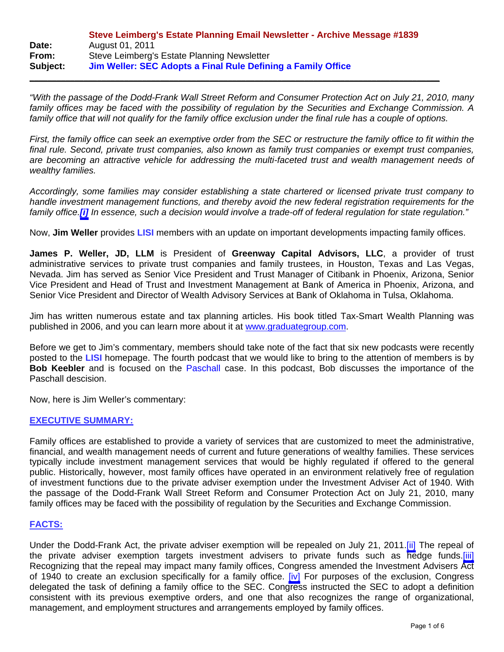|          | Steve Leimberg's Estate Planning Email Newsletter - Archive Message #1839 |
|----------|---------------------------------------------------------------------------|
| Date:    | August 01, 2011                                                           |
| From:    | Steve Leimberg's Estate Planning Newsletter                               |
| Subject: | Jim Weller: SEC Adopts a Final Rule Defining a Family Office              |

 $\overline{\phantom{a}}$  , and the contribution of the contribution of the contribution of the contribution of the contribution of the contribution of the contribution of the contribution of the contribution of the contribution of the

*"With the passage of the Dodd-Frank Wall Street Reform and Consumer Protection Act on July 21, 2010, many family offices may be faced with the possibility of regulation by the Securities and Exchange Commission. A*  family office that will not qualify for the family office exclusion under the final rule has a couple of options.

*First, the family office can seek an exemptive order from the SEC or restructure the family office to fit within the final rule. Second, private trust companies, also known as family trust companies or exempt trust companies, are becoming an attractive vehicle for addressing the multi-faceted trust and wealth management needs of wealthy families.* 

*Accordingly, some families may consider establishing a state chartered or licensed private trust company to handle investment management functions, and thereby avoid the new federal registration requirements for the family office.[\[i\]](#page-5-0) In essence, such a decision would involve a trade-off of federal regulation for state regulation."* 

Now, **Jim Weller** provides **LISI** members with an update on important developments impacting family offices.

**James P. Weller, JD, LLM** is President of **Greenway Capital Advisors, LLC**, a provider of trust administrative services to private trust companies and family trustees, in Houston, Texas and Las Vegas, Nevada. Jim has served as Senior Vice President and Trust Manager of Citibank in Phoenix, Arizona, Senior Vice President and Head of Trust and Investment Management at Bank of America in Phoenix, Arizona, and Senior Vice President and Director of Wealth Advisory Services at Bank of Oklahoma in Tulsa, Oklahoma.

Jim has written numerous estate and tax planning articles. His book titled Tax-Smart Wealth Planning was published in 2006, and you can learn more about it at www.graduategroup.com.

Before we get to Jim's commentary, members should take note of the fact that six new podcasts were recently posted to the **LISI** homepage. The fourth podcast that we would like to bring to the attention of members is by **Bob Keebler** and is focused on the Paschall case. In this podcast, Bob discusses the importance of the Paschall descision.

Now, here is Jim Weller's commentary:

### **EXECUTIVE SUMMARY:**

Family offices are established to provide a variety of services that are customized to meet the administrative, financial, and wealth management needs of current and future generations of wealthy families. These services typically include investment management services that would be highly regulated if offered to the general public. Historically, however, most family offices have operated in an environment relatively free of regulation of investment functions due to the private adviser exemption under the Investment Adviser Act of 1940. With the passage of the Dodd-Frank Wall Street Reform and Consumer Protection Act on July 21, 2010, many family offices may be faced with the possibility of regulation by the Securities and Exchange Commission.

### **FACTS:**

Under the Dodd-Frank Act, the private adviser exemption will be repealed on July 21, 2011[.\[ii\]](#page-5-0) The repeal of the private adviser exemption targets investment advisers to private funds such as hedge funds.[\[iii\]](#page-5-0) Recognizing that the repeal may impact many family offices, Congress amended the Investment Advisers Act of 1940 to create an exclusion specifically for a family office. [\[iv\]](#page-5-0) For purposes of the exclusion, Congress delegated the task of defining a family office to the SEC. Congress instructed the SEC to adopt a definition consistent with its previous exemptive orders, and one that also recognizes the range of organizational, management, and employment structures and arrangements employed by family offices.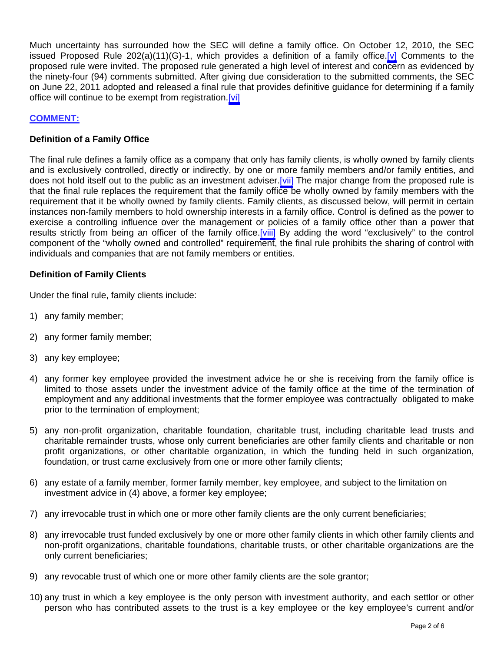Much uncertainty has surrounded how the SEC will define a family office. On October 12, 2010, the SEC issued Proposed Rule 202(a)(11)(G)-1, which provides a definition of a family office. [\[v\]](#page-5-0) Comments to the proposed rule were invited. The proposed rule generated a high level of interest and concern as evidenced by the ninety-four (94) comments submitted. After giving due consideration to the submitted comments, the SEC on June 22, 2011 adopted and released a final rule that provides definitive guidance for determining if a family office will continue to be exempt from registration.[\[vi\]](#page-5-0)

# **COMMENT:**

## **Definition of a Family Office**

The final rule defines a family office as a company that only has family clients, is wholly owned by family clients and is exclusively controlled, directly or indirectly, by one or more family members and/or family entities, and does not hold itself out to the public as an investment adviser. [vii] The major change from the proposed rule is that the final rule replaces the requirement that the family office be wholly owned by family members with the requirement that it be wholly owned by family clients. Family clients, as discussed below, will permit in certain instances non-family members to hold ownership interests in a family office. Control is defined as the power to exercise a controlling influence over the management or policies of a family office other than a power that results strictly from being an officer of the family office. [viii] By adding the word "exclusively" to the control component of the "wholly owned and controlled" requirement, the final rule prohibits the sharing of control with individuals and companies that are not family members or entities.

## **Definition of Family Clients**

Under the final rule, family clients include:

- 1) any family member;
- 2) any former family member;
- 3) any key employee;
- 4) any former key employee provided the investment advice he or she is receiving from the family office is limited to those assets under the investment advice of the family office at the time of the termination of employment and any additional investments that the former employee was contractually obligated to make prior to the termination of employment;
- 5) any non-profit organization, charitable foundation, charitable trust, including charitable lead trusts and charitable remainder trusts, whose only current beneficiaries are other family clients and charitable or non profit organizations, or other charitable organization, in which the funding held in such organization, foundation, or trust came exclusively from one or more other family clients;
- 6) any estate of a family member, former family member, key employee, and subject to the limitation on investment advice in (4) above, a former key employee;
- 7) any irrevocable trust in which one or more other family clients are the only current beneficiaries;
- 8) any irrevocable trust funded exclusively by one or more other family clients in which other family clients and non-profit organizations, charitable foundations, charitable trusts, or other charitable organizations are the only current beneficiaries;
- 9) any revocable trust of which one or more other family clients are the sole grantor;
- 10) any trust in which a key employee is the only person with investment authority, and each settlor or other person who has contributed assets to the trust is a key employee or the key employee's current and/or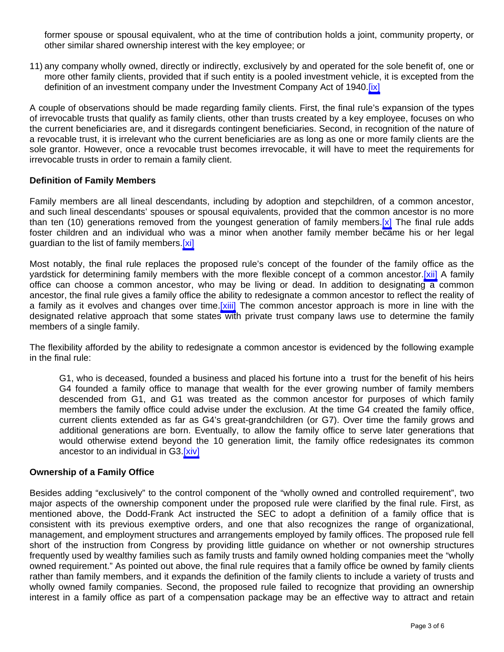former spouse or spousal equivalent, who at the time of contribution holds a joint, community property, or other similar shared ownership interest with the key employee; or

11) any company wholly owned, directly or indirectly, exclusively by and operated for the sole benefit of, one or more other family clients, provided that if such entity is a pooled investment vehicle, it is excepted from the definition of an investment company under the Investment Company Act of 1940. [\[ix\]](#page-5-0)

A couple of observations should be made regarding family clients. First, the final rule's expansion of the types of irrevocable trusts that qualify as family clients, other than trusts created by a key employee, focuses on who the current beneficiaries are, and it disregards contingent beneficiaries. Second, in recognition of the nature of a revocable trust, it is irrelevant who the current beneficiaries are as long as one or more family clients are the sole grantor. However, once a revocable trust becomes irrevocable, it will have to meet the requirements for irrevocable trusts in order to remain a family client.

### **Definition of Family Members**

Family members are all lineal descendants, including by adoption and stepchildren, of a common ancestor, and such lineal descendants' spouses or spousal equivalents, provided that the common ancestor is no more than ten (10) generations removed from the youngest generation of family members. [x] The final rule adds foster children and an individual who was a minor when another family member became his or her legal guardian to the list of family members.[\[xi\]](#page-5-0)

Most notably, the final rule replaces the proposed rule's concept of the founder of the family office as the yardstick for determining family members with the more flexible concept of a common ancestor.[\[xii\]](#page-5-0) A family office can choose a common ancestor, who may be living or dead. In addition to designating a common ancestor, the final rule gives a family office the ability to redesignate a common ancestor to reflect the reality of a family as it evolves and changes over time.[\[xiii\]](#page-5-0) The common ancestor approach is more in line with the designated relative approach that some states with private trust company laws use to determine the family members of a single family.

The flexibility afforded by the ability to redesignate a common ancestor is evidenced by the following example in the final rule:

G1, who is deceased, founded a business and placed his fortune into a trust for the benefit of his heirs G4 founded a family office to manage that wealth for the ever growing number of family members descended from G1, and G1 was treated as the common ancestor for purposes of which family members the family office could advise under the exclusion. At the time G4 created the family office, current clients extended as far as G4's great-grandchildren (or G7). Over time the family grows and additional generations are born. Eventually, to allow the family office to serve later generations that would otherwise extend beyond the 10 generation limit, the family office redesignates its common ancestor to an individual in G3[.\[xiv\]](#page-5-0)

### **Ownership of a Family Office**

Besides adding "exclusively" to the control component of the "wholly owned and controlled requirement", two major aspects of the ownership component under the proposed rule were clarified by the final rule. First, as mentioned above, the Dodd-Frank Act instructed the SEC to adopt a definition of a family office that is consistent with its previous exemptive orders, and one that also recognizes the range of organizational, management, and employment structures and arrangements employed by family offices. The proposed rule fell short of the instruction from Congress by providing little guidance on whether or not ownership structures frequently used by wealthy families such as family trusts and family owned holding companies meet the "wholly owned requirement." As pointed out above, the final rule requires that a family office be owned by family clients rather than family members, and it expands the definition of the family clients to include a variety of trusts and wholly owned family companies. Second, the proposed rule failed to recognize that providing an ownership interest in a family office as part of a compensation package may be an effective way to attract and retain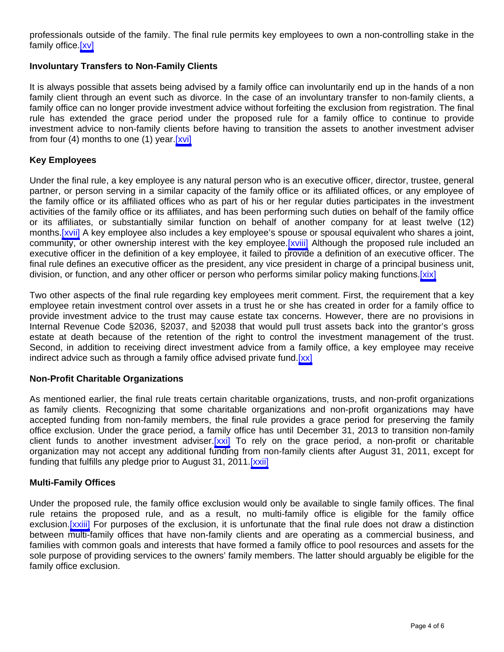professionals outside of the family. The final rule permits key employees to own a non-controlling stake in the family office [xv]

## **Involuntary Transfers to Non-Family Clients**

It is always possible that assets being advised by a family office can involuntarily end up in the hands of a non family client through an event such as divorce. In the case of an involuntary transfer to non-family clients, a family office can no longer provide investment advice without forfeiting the exclusion from registration. The final rule has extended the grace period under the proposed rule for a family office to continue to provide investment advice to non-family clients before having to transition the assets to another investment adviser from four  $(4)$  months to one  $(1)$  year. [xvi]

### **Key Employees**

Under the final rule, a key employee is any natural person who is an executive officer, director, trustee, general partner, or person serving in a similar capacity of the family office or its affiliated offices, or any employee of the family office or its affiliated offices who as part of his or her regular duties participates in the investment activities of the family office or its affiliates, and has been performing such duties on behalf of the family office or its affiliates, or substantially similar function on behalf of another company for at least twelve (12) months[.\[xvii\]](#page-5-0) A key employee also includes a key employee's spouse or spousal equivalent who shares a joint, community, or other ownership interest with the key employee.[\[xviii\]](#page-5-0) Although the proposed rule included an executive officer in the definition of a key employee, it failed to provide a definition of an executive officer. The final rule defines an executive officer as the president, any vice president in charge of a principal business unit, division, or function, and any other officer or person who performs similar policy making functions.[xix]

Two other aspects of the final rule regarding key employees merit comment. First, the requirement that a key employee retain investment control over assets in a trust he or she has created in order for a family office to provide investment advice to the trust may cause estate tax concerns. However, there are no provisions in Internal Revenue Code §2036, §2037, and §2038 that would pull trust assets back into the grantor's gross estate at death because of the retention of the right to control the investment management of the trust. Second, in addition to receiving direct investment advice from a family office, a key employee may receive indirect advice such as through a family office advised private fund.[\[xx\]](#page-5-0)

### **Non-Profit Charitable Organizations**

As mentioned earlier, the final rule treats certain charitable organizations, trusts, and non-profit organizations as family clients. Recognizing that some charitable organizations and non-profit organizations may have accepted funding from non-family members, the final rule provides a grace period for preserving the family office exclusion. Under the grace period, a family office has until December 31, 2013 to transition non-family client funds to another investment adviser[.\[xxi\]](#page-5-0) To rely on the grace period, a non-profit or charitable organization may not accept any additional funding from non-family clients after August 31, 2011, except for funding that fulfills any pledge prior to August 31, 2011. [xxii]

### **Multi-Family Offices**

Under the proposed rule, the family office exclusion would only be available to single family offices. The final rule retains the proposed rule, and as a result, no multi-family office is eligible for the family office exclusion.[\[xxiii\]](#page-5-0) For purposes of the exclusion, it is unfortunate that the final rule does not draw a distinction between multi-family offices that have non-family clients and are operating as a commercial business, and families with common goals and interests that have formed a family office to pool resources and assets for the sole purpose of providing services to the owners' family members. The latter should arguably be eligible for the family office exclusion.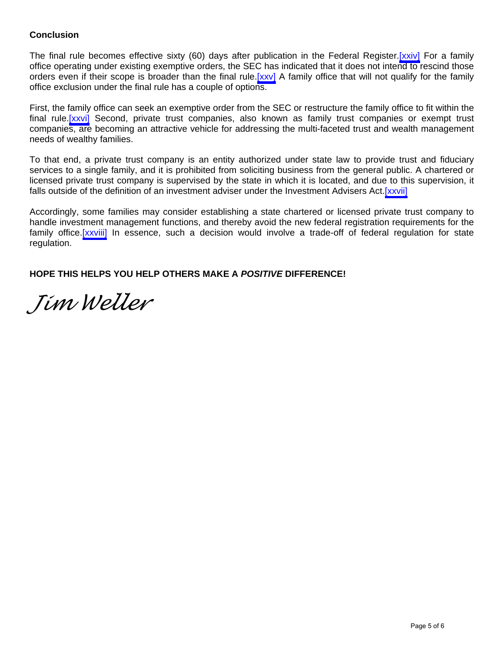## **Conclusion**

The final rule becomes effective sixty (60) days after publication in the Federal Register[.\[xxiv\]](#page-5-0) For a family office operating under existing exemptive orders, the SEC has indicated that it does not intend to rescind those orders even if their scope is broader than the final rule.[\[xxv\]](#page-5-0) A family office that will not qualify for the family office exclusion under the final rule has a couple of options.

First, the family office can seek an exemptive order from the SEC or restructure the family office to fit within the final rule.[\[xxvi\]](#page-5-0) Second, private trust companies, also known as family trust companies or exempt trust companies, are becoming an attractive vehicle for addressing the multi-faceted trust and wealth management needs of wealthy families.

To that end, a private trust company is an entity authorized under state law to provide trust and fiduciary services to a single family, and it is prohibited from soliciting business from the general public. A chartered or licensed private trust company is supervised by the state in which it is located, and due to this supervision, it falls outside of the definition of an investment adviser under the Investment Advisers Act.[\[xxvii\]](#page-5-0)

Accordingly, some families may consider establishing a state chartered or licensed private trust company to handle investment management functions, and thereby avoid the new federal registration requirements for the family office[.\[xxviii\]](#page-5-0) In essence, such a decision would involve a trade-off of federal regulation for state regulation.

**HOPE THIS HELPS YOU HELP OTHERS MAKE A** *POSITIVE* **DIFFERENCE!**

*Jim Weller*